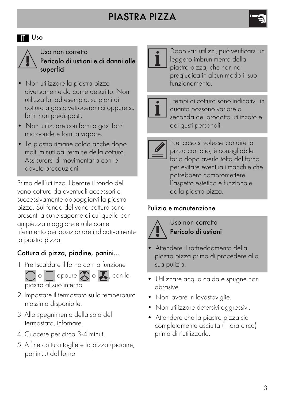# PIASTRA PIZZA



Uso non corretto Pericolo di ustioni e di danni alle superfici

- Non utilizzare la piastra pizza diversamente da come descritto. Non utilizzarla, ad esempio, su piani di cottura a gas o vetroceramici oppure su forni non predisposti.
- Non utilizzare con forni a gas, forni microonde e forni a vapore.
- La piastra rimane calda anche dopo molti minuti dal termine della cottura. Assicurarsi di movimentarla con le dovute precauzioni.

Prima dell'utilizzo, liberare il fondo del vano cottura da eventuali accessori e successivamente appoggiarvi la piastra pizza. Sul fondo del vano cottura sono presenti alcune sagome di cui quella con ampiezza maggiore è utile come riferimento per posizionare indicativamente la piastra pizza.

## Cottura di pizza, piadine, panini...

1. Preriscaldare il forno con la funzione



- 2. Impostare il termostato sulla temperatura massima disponibile.
- 3. Allo spegnimento della spia del termostato, infornare.
- 4. Cuocere per circa 3-4 minuti.
- 5. A fine cottura togliere la pizza (piadine, panini...) dal forno.



Dopo vari utilizzi, può verificarsi un leggero imbrunimento della piastra pizza, che non ne pregiudica in alcun modo il suo funzionamento.



I tempi di cottura sono indicativi, in quanto possono variare a seconda del prodotto utilizzato e dei gusti personali.



Nel caso si volesse condire la pizza con olio, è consigliabile farlo dopo averla tolta dal forno per evitare eventuali macchie che potrebbero compromettere l'aspetto estetico e funzionale della piastra pizza.

## Pulizia e manutenzione



Uso non corretto Pericolo di ustioni

- Attendere il raffreddamento della piastra pizza prima di procedere alla sua pulizia.
- Utilizzare acqua calda e spugne non abrasive.
- Non lavare in lavastoviglie.
- Non utilizzare detersivi aggressivi.
- Attendere che la piastra pizza sia completamente asciutta (1 ora circa) prima di riutilizzarla.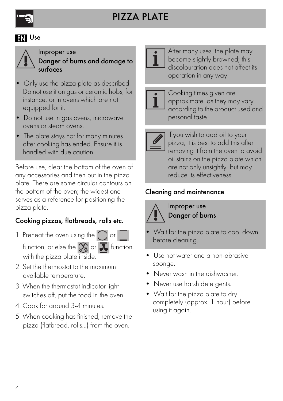

#### **EN** Use



Improper use Danger of burns and damage to surfaces

- Only use the pizza plate as described. Do not use it on gas or ceramic hobs, for instance, or in ovens which are not equipped for it.
- Do not use in gas ovens, microwave ovens or steam ovens.
- The plate stays hot for many minutes after cooking has ended. Ensure it is handled with due caution.

Before use, clear the bottom of the oven of any accessories and then put in the pizza plate. There are some circular contours on the bottom of the oven; the widest one serves as a reference for positioning the pizza plate.

## Cooking pizzas, flatbreads, rolls etc.

- 1. Preheat the oven using the  $\bigcap$  or function, or else the  $\binom{2}{x}$  or  $\sum$  function, with the pizza plate inside.
- 2. Set the thermostat to the maximum available temperature.
- 3. When the thermostat indicator light switches off, put the food in the oven.
- 4. Cook for around 3-4 minutes.
- 5. When cooking has finished, remove the pizza (flatbread, rolls...) from the oven.



After many uses, the plate may become slightly browned; this discolouration does not affect its operation in any way.



Cooking times given are approximate, as they may vary according to the product used and personal taste.



If you wish to add oil to your pizza, it is best to add this after removing it from the oven to avoid oil stains on the pizza plate which are not only unsightly, but may reduce its effectiveness.

## Cleaning and maintenance



Improper use Danger of burns

- Wait for the pizza plate to cool down before cleaning.
- Use hot water and a non-abrasive sponge.
- Never wash in the dishwasher.
- Never use harsh detergents.
- Wait for the pizza plate to dry completely (approx. 1 hour) before using it again.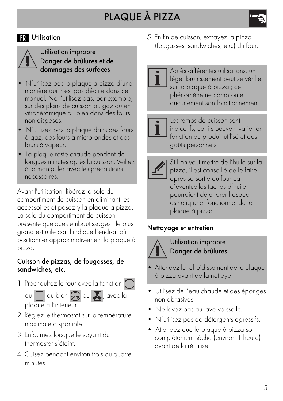### **R** Utilisation



#### Utilisation impropre Danger de brûlures et de dommages des surfaces

- N'utilisez pas la plaque à pizza d'une manière qui n'est pas décrite dans ce manuel. Ne l'utilisez pas, par exemple, sur des plans de cuisson au gaz ou en vitrocéramique ou bien dans des fours non disposés.
- N'utilisez pas la plaque dans des fours à gaz, des fours à micro-ondes et des fours à vapeur.
- La plaque reste chaude pendant de longues minutes après la cuisson. Veillez à la manipuler avec les précautions nécessaires.

Avant l'utilisation, libérez la sole du compartiment de cuisson en éliminant les accessoires et posez-y la plaque à pizza. La sole du compartiment de cuisson présente quelques emboutissages ; le plus grand est utile car il indique l'endroit où positionner approximativement la plaque à pizza.

#### Cuisson de pizzas, de fougasses, de sandwiches, etc.

1. Préchauffez le four avec la fonction

ou ou bien  $\overline{\mathbb{R}}$  ou  $\overline{\mathbf{A}}$ , avec la plaque à l'intérieur.

- 2. Réglez le thermostat sur la température maximale disponible.
- 3. Enfournez lorsque le voyant du thermostat s'éteint.
- 4. Cuisez pendant environ trois ou quatre minutes.

5. En fin de cuisson, extrayez la pizza (fougasses, sandwiches, etc.) du four.

Après différentes utilisations, un léger brunissement peut se vérifier sur la plaque à pizza ; ce phénomène ne compromet aucunement son fonctionnement.



Les temps de cuisson sont indicatifs, car ils peuvent varier en fonction du produit utilisé et des goûts personnels.



Si l'on veut mettre de l'huile sur la pizza, il est conseillé de le faire après sa sortie du four car d'éventuelles taches d'huile pourraient détériorer l'aspect esthétique et fonctionnel de la plaque à pizza.

#### Nettoyage et entretien



Utilisation impropre Danger de brûlures

- Attendez le refroidissement de la plaque à pizza avant de la nettoyer.
- Utilisez de l'eau chaude et des éponges non abrasives.
- Ne lavez pas au lave-vaisselle.
- N'utilisez pas de détergents agressifs.
- Attendez que la plaque à pizza soit complètement sèche (environ 1 heure) avant de la réutiliser.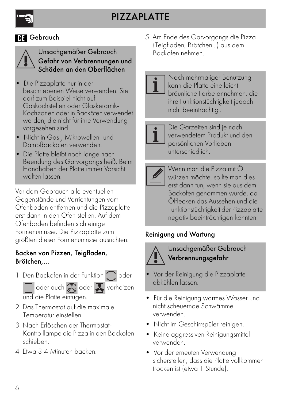## **M** Gebrauch



Unsachgemäßer Gebrauch Gefahr von Verbrennungen und Schäden an den Oberflächen

- Die Pizzaplatte nur in der beschriebenen Weise verwenden. Sie darf zum Beispiel nicht auf Gaskochstellen oder Glaskeramik-Kochzonen oder in Backöfen verwendet werden, die nicht für ihre Verwendung vorgesehen sind.
- Nicht in Gas-, Mikrowellen- und Dampfbacköfen verwenden.
- Die Platte bleibt noch lange nach Beendung des Garvorgangs heiß. Beim Handhaben der Platte immer Vorsicht walten lassen.

Vor dem Gebrauch alle eventuellen Gegenstände und Vorrichtungen vom Ofenboden entfernen und die Pizzaplatte erst dann in den Ofen stellen. Auf dem Ofenboden befinden sich einige Formenumrisse. Die Pizzaplatte zum größten dieser Formenumrisse ausrichten.

#### Backen von Pizzen, Teigfladen, Brötchen,...

1. Den Backofen in der Funktion oder

 $\overline{\phantom{a}}$  oder auch  $\overline{\mathbb{Q}}$  oder  $\overline{\mathbf{X}}$  vorheizen und die Platte einfügen.

- 2. Das Thermostat auf die maximale Temperatur einstellen.
- 3. Nach Erlöschen der Thermostat-Kontrolllampe die Pizza in den Backofen schieben.
- 4. Etwa 3-4 Minuten backen.

5. Am Ende des Garvorgangs die Pizza (Teigfladen, Brötchen...) aus dem Backofen nehmen.

Nach mehrmaliger Benutzung kann die Platte eine leicht bräunliche Farbe annehmen, die ihre Funktionstüchtigkeit jedoch nicht beeinträchtigt.



Die Garzeiten sind je nach verwendetem Produkt und den persönlichen Vorlieben unterschiedlich.

Wenn man die Pizza mit Öl würzen möchte, sollte man dies erst dann tun, wenn sie aus dem Backofen genommen wurde, da Ölflecken das Aussehen und die Funktionstüchtigkeit der Pizzaplatte negativ beeinträchtigen könnten.

## Reinigung und Wartung



Unsachgemäßer Gebrauch Verbrennungsgefahr

- Vor der Reinigung die Pizzaplatte abkühlen lassen.
- Für die Reinigung warmes Wasser und nicht scheuernde Schwämme verwenden.
- Nicht im Geschirrspüler reinigen.
- Keine aggressiven Reinigungsmittel verwenden.
- Vor der erneuten Verwendung sicherstellen, dass die Platte vollkommen trocken ist (etwa 1 Stunde).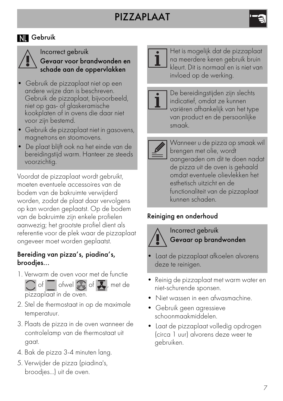# PIZZAPLAAT

## **NI** Gebruik



Incorrect gebruik Gevaar voor brandwonden en schade aan de oppervlakken

- Gebruik de pizzaplaat niet op een andere wijze dan is beschreven. Gebruik de pizzaplaat, bijvoorbeeld, niet op gas- of glaskeramische kookplaten of in ovens die daar niet voor zijn bestemd.
- Gebruik de pizzaplaat niet in gasovens, magnetrons en stoomovens.
- De plaat blijft ook na het einde van de bereidingstijd warm. Hanteer ze steeds voorzichtig.

Voordat de pizzaplaat wordt gebruikt, moeten eventuele accessoires van de bodem van de bakruimte verwijderd worden, zodat de plaat daar vervolgens op kan worden geplaatst. Op de bodem van de bakruimte zijn enkele profielen aanwezig; het grootste profiel dient als referentie voor de plek waar de pizzaplaat ongeveer moet worden geplaatst.

#### Bereiding van pizza's, piadina's, broodjes...

1. Verwarm de oven voor met de functie



- 2. Stel de thermostaat in op de maximale temperatuur.
- 3. Plaats de pizza in de oven wanneer de controlelamp van de thermostaat uit gaat.
- 4. Bak de pizza 3-4 minuten lang.
- 5. Verwijder de pizza (piadina's, broodjes...) uit de oven.



Het is mogelijk dat de pizzaplaat na meerdere keren gebruik bruin kleurt. Dit is normaal en is niet van invloed op de werking.



De bereidingstijden zijn slechts indicatief, omdat ze kunnen variëren afhankelijk van het type van product en de persoonlijke smaak.



Wanneer u de pizza op smaak wil brengen met olie, wordt aangeraden om dit te doen nadat de pizza uit de oven is gehaald omdat eventuele olievlekken het esthetisch uitzicht en de functionaliteit van de pizzaplaat kunnen schaden.

#### Reiniging en onderhoud



Incorrect gebruik Gevaar op brandwonden

- Laat de pizzaplaat afkoelen alvorens deze te reinigen.
- Reinig de pizzaplaat met warm water en niet-schurende sponsen.
- Niet wassen in een afwasmachine.
- Gebruik geen agressieve schoonmaakmiddelen.
- Laat de pizzaplaat volledig opdrogen (circa 1 uur) alvorens deze weer te gebruiken.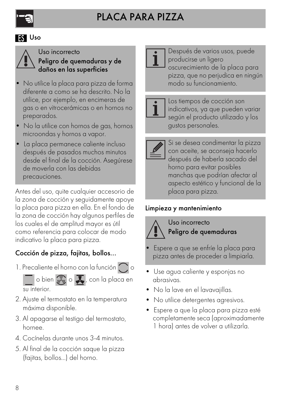

#### **ES** Uso



Uso incorrecto Peligro de quemaduras y de daños en las superficies

- No utilice la placa para pizza de forma diferente a como se ha descrito. No la utilice, por ejemplo, en encimeras de gas o en vitrocerámicas o en hornos no preparados.
- No la utilice con hornos de gas, hornos microondas y hornos a vapor.
- La placa permanece caliente incluso después de pasados muchos minutos desde el final de la cocción. Asegúrese de moverla con las debidas precauciones.

Antes del uso, quite cualquier accesorio de la zona de cocción y seguidamente apoye la placa para pizza en ella. En el fondo de la zona de cocción hay algunos perfiles de los cuales el de amplitud mayor es útil como referencia para colocar de modo indicativo la placa para pizza.

## Cocción de pizza, fajitas, bollos...

1. Precaliente el horno con la función  $\bigcap$ o



- 2. Ajuste el termostato en la temperatura máxima disponible.
- 3. Al apagarse el testigo del termostato, hornee.
- 4. Cocínelas durante unos 3-4 minutos.
- 5. Al final de la cocción saque la pizza (fajitas, bollos...) del horno.



Después de varios usos, puede producirse un ligero oscurecimiento de la placa para pizza, que no perjudica en ningún modo su funcionamiento.



Los tiempos de cocción son indicativos, ya que pueden variar según el producto utilizado y los gustos personales.



Si se desea condimentar la pizza con aceite, se aconseja hacerlo después de haberla sacado del horno para evitar posibles manchas que podrían afectar al aspecto estético y funcional de la placa para pizza.

## Limpieza y mantenimiento



Uso incorrecto Peligro de quemaduras

- Espere a que se enfríe la placa para pizza antes de proceder a limpiarla.
- Use agua caliente y esponjas no abrasivas.
- No la lave en el lavavajillas.
- No utilice detergentes agresivos.
- Espere a que la placa para pizza esté completamente seca (aproximadamente 1 hora) antes de volver a utilizarla.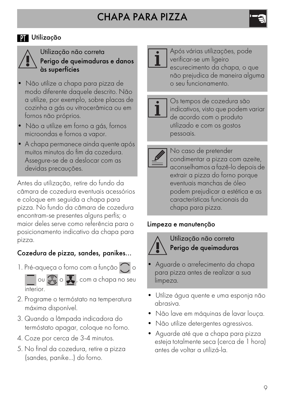## **PT** Utilização



#### Utilização não correta Perigo de queimaduras e danos às superfícies

- Não utilize a chapa para pizza de modo diferente daquele descrito. Não a utilize, por exemplo, sobre placas de cozinha a gás ou vitrocerâmica ou em fornos não próprios.
- Não a utilize em forno a gás, fornos microondas e fornos a vapor.
- A chapa permanece ainda quente após muitos minutos do fim da cozedura. Assegure-se de a deslocar com as devidas precauções.

Antes da utilização, retire do fundo da câmara de cozedura eventuais acessórios e coloque em seguida a chapa para pizza. No fundo da câmara de cozedura encontram-se presentes alguns perfis; o maior deles serve como referência para o posicionamento indicativo da chapa para pizza.

## Cozedura de pizza, sandes, panikes...

1. Pré-aqueça o forno com a função  $\bigcap$  o



- 2. Programe o termóstato na temperatura máxima disponível.
- 3. Quando a lâmpada indicadora do termóstato apagar, coloque no forno.
- 4. Coze por cerca de 3-4 minutos.
- 5. No final da cozedura, retire a pizza (sandes, panike...) do forno.



Após várias utilizações, pode verificar-se um ligeiro escurecimento da chapa, o que não prejudica de maneira alguma o seu funcionamento.

Os tempos de cozedura são indicativos, visto que podem variar de acordo com o produto utilizado e com os gostos pessoais.

No caso de pretender condimentar a pizza com azeite, aconselhamos a fazê-lo depois de extrair a pizza do forno porque eventuais manchas de óleo podem prejudicar a estética e as características funcionais da chapa para pizza.

#### Limpeza e manutenção



Utilização não correta Perigo de queimaduras

- Aguarde o arrefecimento da chapa para pizza antes de realizar a sua limpeza.
- Utilize água quente e uma esponja não abrasiva.
- Não lave em máquinas de lavar louça.
- Não utilize detergentes agressivos.
- Aguarde até que a chapa para pizza esteja totalmente seca (cerca de 1 hora) antes de voltar a utilizá-la.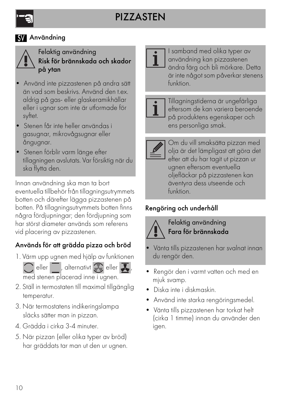## **SV** Användning



Felaktig användning Risk för brännskada och skador på ytan

- Använd inte pizzastenen på andra sätt än vad som beskrivs. Använd den t.ex. aldrig på gas- eller glaskeramikhällar eller i ugnar som inte är utformade för syftet.
- Stenen får inte heller användas i gasugnar, mikrovågsugnar eller ångugnar.
- Stenen förblir varm länge efter tillagningen avslutats. Var försiktig när du ska flytta den.

Innan användning ska man ta bort eventuella tillbehör från tillagningsutrymmets botten och därefter lägga pizzastenen på botten. På tillagningsutrymmets botten finns några fördjupningar; den fördjupning som har störst diameter används som referens vid placering av pizzastenen.

## Används för att grädda pizza och bröd

- 1. Värm upp ugnen med hjälp av funktionen
	-



med stenen placerad inne i ugnen.

- 2. Ställ in termostaten till maximal tillgänglig temperatur.
- 3. När termostatens indikeringslampa släcks sätter man in pizzan.
- 4. Grädda i cirka 3-4 minuter.
- 5. När pizzan (eller olika typer av bröd) har gräddats tar man ut den ur ugnen.



I samband med olika typer av användning kan pizzastenen ändra färg och bli mörkare. Detta är inte något som påverkar stenens funktion.



Tillagningstiderna är ungefärliga eftersom de kan variera beroende på produktens egenskaper och ens personliga smak.



Om du vill smaksätta pizzan med olja är det lämpligast att göra det efter att du har tagit ut pizzan ur ugnen eftersom eventuella oljefläckar på pizzastenen kan äventyra dess utseende och funktion.

# Rengöring och underhåll



Felaktig användning Fara för brännskada

- Vänta tills pizzastenen har svalnat innan du rengör den.
- Rengör den i varmt vatten och med en mjuk svamp.
- Diska inte i diskmaskin.
- Använd inte starka rengöringsmedel.
- Vänta tills pizzastenen har torkat helt (cirka 1 timme) innan du använder den igen.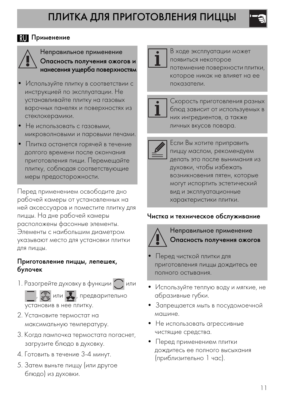### **RU** Применение



Неправильное применение Опасность получения ожогов и нанесения ущерба поверхностям

- Используйте плитку в соответствии с инструкцией по эксплуатации. Не устанавливайте плитку на газовых варочных панелях и поверхностях из стеклокерамики.
- Не использовать с газовыми, микроволновыми и паровыми печами.
- Плитка останется горячей в течение долгого времени после окончания приготовления пищи. Перемещайте плитку, соблюдая соответствующие меры предосторожности.

Перед применением освободите дно рабочей камеры от установленных на ней аксессуаров и поместите плитку для пиццы. На дне рабочей камеры расположены фасонные элементы. Элементы с наибольшим диаметром указывают место для установки плитки для пиццы.

#### Приготовление пиццы, лепешек, булочек

1. Разогрейте духовку в функции или

**,**  $\sqrt[n]{a}$ , предварительно установив в нее плитку.

- 2. Установите термостат на максимальную температуру.
- 3. Когда лампочка термостата погаснет, загрузите блюдо в духовку.
- 4. Готовить в течение 3-4 минут.
- 5. Затем выньте пиццу (или другое блюдо) из духовки.



В ходе эксплуатации может появиться некоторое потемнение поверхности плитки, которое никак не влияет на ее показатели.



Скорость приготовления разных блюд зависит от используемых в них ингредиентов, а также личных вкусов повара.



Если Вы хотите приправить пиццу маслом, рекомендуем делать это после вынимания из духовки, чтобы избежать возникновения пятен, которые могут испортить эстетический вид и эксплуатационные характеристики плитки.

#### Чистка и техническое обслуживание



Неправильное применение Опасность получения ожогов

- Перед чисткой плитки для приготовления пиццы дождитесь ее полного остывания.
- Используйте теплую воду и мягкие, не абразивные губки.
- Запрещается мыть в посудомоечной машине.
- Не использовать агрессивные чистящие средства.
- Перед применением плитки дождитесь ее полного высыхания (приблизительно 1 час).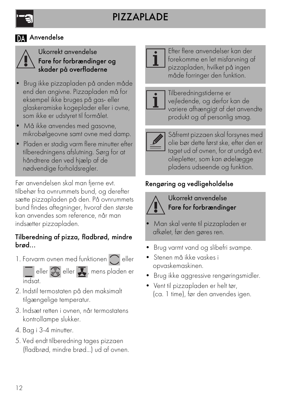## **DA** Anvendelse



Ukorrekt anvendelse Fare for forbrændinger og skader på overfladerne

- Brug ikke pizzapladen på anden måde end den angivne. Pizzapladen må for eksempel ikke bruges på gas- eller glaskeramiske kogeplader eller i ovne, som ikke er udstyret til formålet.
- Må ikke anvendes med gasovne, mikrobølgeovne samt ovne med damp.
- Pladen er stadig varm flere minutter efter tilberedningens afslutning. Sørg for at håndtrere den ved hjælp af de nødvendige forholdsregler.

Før anvendelsen skal man fjerne evt. tilbehør fra ovnrummets bund, og derefter sætte pizzapladen på den. På ovnrummets bund findes aftegninger, hvoraf den største kan anvendes som reference, når man indsætter pizzapladen.

#### Tilberedning af pizza, fladbrød, mindre brød...

1. Forvarm ovnen med funktionen  $\bigcap$  eller

eller  $\overline{\mathbb{C}}$  eller  $\overline{\mathbf{L}}$ , mens pladen er indsat.

- 2. Indstil termostaten på den maksimalt tilgængelige temperatur.
- 3. Indsæt retten i ovnen, når termostatens kontrollampe slukker.
- 4. Bag i 3-4 minutter.
- 5. Ved endt tilberedning tages pizzaen (fladbrød, mindre brød...) ud af ovnen.



Efter flere anvendelser kan der forekomme en let misfarvning af pizzapladen, hvilket på ingen måde forringer den funktion.



Tilberedningstiderne er vejledende, og derfor kan de variere afhængigt af det anvendte produkt og af personlig smag.



Såfremt pizzaen skal forsynes med olie bør dette først ske, efter den er taget ud af ovnen, for at undgå evt. oliepletter, som kan ødelægge pladens udseende og funktion.

## Rengøring og vedligeholdelse



Ukorrekt anvendelse Fare for forbrændinger

- Man skal vente til pizzapladen er afkølet, før den gøres ren.
- Brug varmt vand og slibefri svampe.
- Stenen må ikke vaskes i opvaskemaskinen.
- Brug ikke aggressive rengøringsmidler.
- Vent til pizzapladen er helt tør, (ca. 1 time), før den anvendes igen.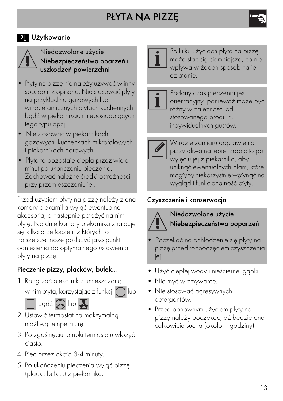## **N** Użytkowanie



#### Niedozwolone użycie Niebezpieczeństwo oparzeń i uszkodzeń powierzchni

- Płyty na pizzę nie należy używać w inny sposób niż opisano. Nie stosować płyty na przykład na gazowych lub witroceramicznych płytach kuchennych bądź w piekarnikach nieposiadających tego typu opcji.
- Nie stosować w piekarnikach gazowych, kuchenkach mikrofalowych i piekarnikach parowych.
- Płyta ta pozostaje ciepła przez wiele minut po ukończeniu pieczenia. Zachować należne środki ostrożności przy przemieszczaniu jej.

Przed użyciem płyty na pizzę należy z dna komory piekarnika wyjąć ewentualne akcesoria, a następnie położyć na nim płytę. Na dnie komory piekarnika znajduje się kilka przetłoczeń, z których to najszersze może posłużyć jako punkt odniesienia do optymalnego ustawienia płyty na pizzę.

## Pieczenie pizzy, placków, bułek...

1. Rozgrzać piekarnik z umieszczoną w nim płytą, korzystając z funkcji $\bigcap$ lub



- 2. Ustawić termostat na maksymalną możliwą temperaturę.
- 3. Po zgaśnięciu lampki termostatu włożyć ciasto.
- 4. Piec przez około 3-4 minuty.
- 5. Po ukończeniu pieczenia wyjąć pizzę (placki, bułki...) z piekarnika.



Po kilku użyciach płyta na pizzę może stać się ciemniejsza, co nie wpływa w żaden sposób na jej działanie.



Podany czas pieczenia jest orientacyjny, ponieważ może być różny w zależności od stosowanego produktu i indywidualnych gustów.

W razie zamiaru doprawienia pizzy oliwą najlepiej zrobić to po wyjęciu jej z piekarnika, aby uniknąć ewentualnych plam, które mogłyby niekorzystnie wpłynąć na wygląd i funkcjonalność płyty.

## Czyszczenie i konserwacja



Niedozwolone użycie Niebezpieczeństwo poparzeń

- Poczekać na ochłodzenie się płyty na pizzę przed rozpoczęciem czyszczenia jej.
- Użyć ciepłej wody i nieściernej gąbki.
- Nie myć w zmywarce.
- Nie stosować agresywnych detergentów.
- Przed ponownym użyciem płyty na pizzę należy poczekać, aż będzie ona całkowicie sucha (około 1 godziny).